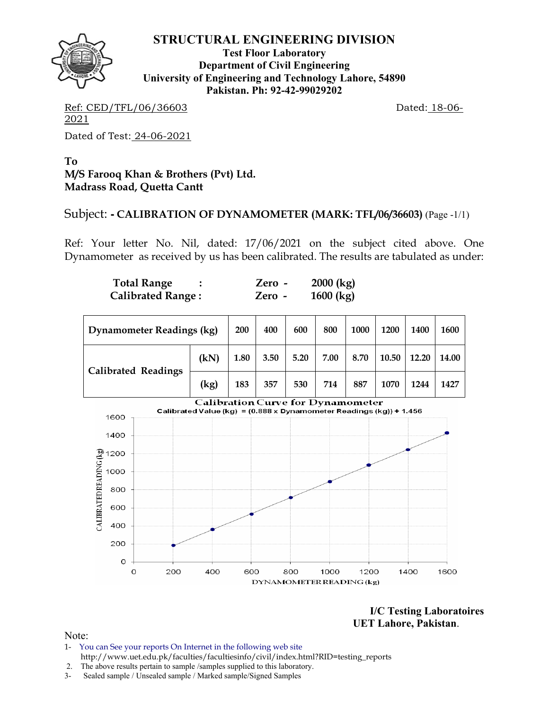

**Test Floor Laboratory Department of Civil Engineering University of Engineering and Technology Lahore, 54890 Pakistan. Ph: 92-42-99029202** 

Ref: CED/TFL/06/36603 Dated: 18-06-2021 Dated of Test: 24-06-2021

**To M/S Farooq Khan & Brothers (Pvt) Ltd. Madrass Road, Quetta Cantt** 

## Subject: **- CALIBRATION OF DYNAMOMETER (MARK: TFL/06/36603)** (Page -1/1)

Ref: Your letter No. Nil, dated: 17/06/2021 on the subject cited above. One Dynamometer as received by us has been calibrated. The results are tabulated as under:

| <b>Total Range</b>       | Zero - | 2000 (kg) |
|--------------------------|--------|-----------|
| <b>Calibrated Range:</b> | Zero - | 1600 (kg) |

| <b>Dynamometer Readings (kg)</b> | 200  | 400  | 600  | 800  | 1000 | 1200 | 1400  | 1600  |       |
|----------------------------------|------|------|------|------|------|------|-------|-------|-------|
| <b>Calibrated Readings</b>       | (kN) | 1.80 | 3.50 | 5.20 | 7.00 | 8.70 | 10.50 | 12.20 | 14.00 |
|                                  | (kg) | 183  | 357  | 530  | 714  | 887  | 1070  | 1244  | 1427  |



**I/C Testing Laboratoires UET Lahore, Pakistan**.

- 1- You can See your reports On Internet in the following web site http://www.uet.edu.pk/faculties/facultiesinfo/civil/index.html?RID=testing\_reports
- 2. The above results pertain to sample /samples supplied to this laboratory.
- 3- Sealed sample / Unsealed sample / Marked sample/Signed Samples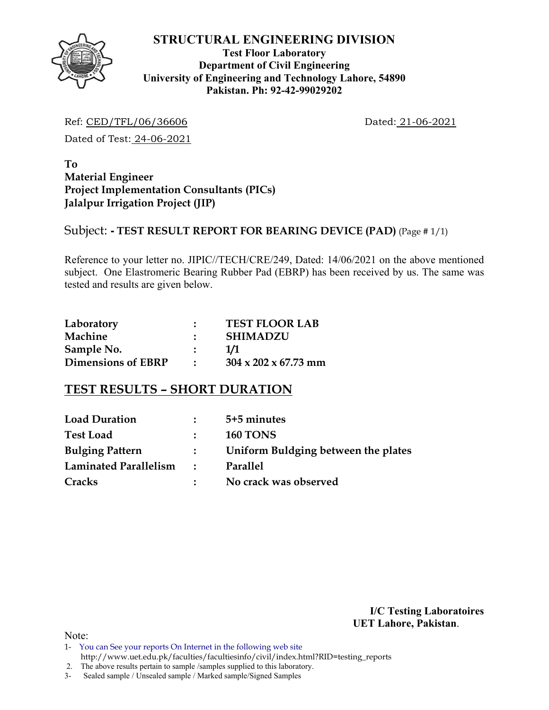

## **Test Floor Laboratory Department of Civil Engineering University of Engineering and Technology Lahore, 54890 Pakistan. Ph: 92-42-99029202**

Ref: CED/TFL/06/36606 Dated: 21-06-2021

Dated of Test: 24-06-2021

**To Material Engineer Project Implementation Consultants (PICs) Jalalpur Irrigation Project (JIP)** 

## Subject: **- TEST RESULT REPORT FOR BEARING DEVICE (PAD)** (Page # 1/1)

Reference to your letter no. JIPIC//TECH/CRE/249, Dated: 14/06/2021 on the above mentioned subject. One Elastromeric Bearing Rubber Pad (EBRP) has been received by us. The same was tested and results are given below.

| Laboratory                | <b>TEST FLOOR LAB</b>            |
|---------------------------|----------------------------------|
| Machine                   | <b>SHIMADZU</b>                  |
| Sample No.                | 1/1                              |
| <b>Dimensions of EBRP</b> | $304 \times 202 \times 67.73$ mm |

# **TEST RESULTS – SHORT DURATION**

| <b>Load Duration</b>   |               | 5+5 minutes                         |
|------------------------|---------------|-------------------------------------|
| <b>Test Load</b>       |               | <b>160 TONS</b>                     |
| <b>Bulging Pattern</b> | $\mathbf{L}$  | Uniform Buldging between the plates |
| Laminated Parallelism  | $\mathcal{L}$ | Parallel                            |
| Cracks                 |               | No crack was observed               |

**I/C Testing Laboratoires UET Lahore, Pakistan**.

- 1- You can See your reports On Internet in the following web site http://www.uet.edu.pk/faculties/facultiesinfo/civil/index.html?RID=testing\_reports
- 2. The above results pertain to sample /samples supplied to this laboratory.
- 3- Sealed sample / Unsealed sample / Marked sample/Signed Samples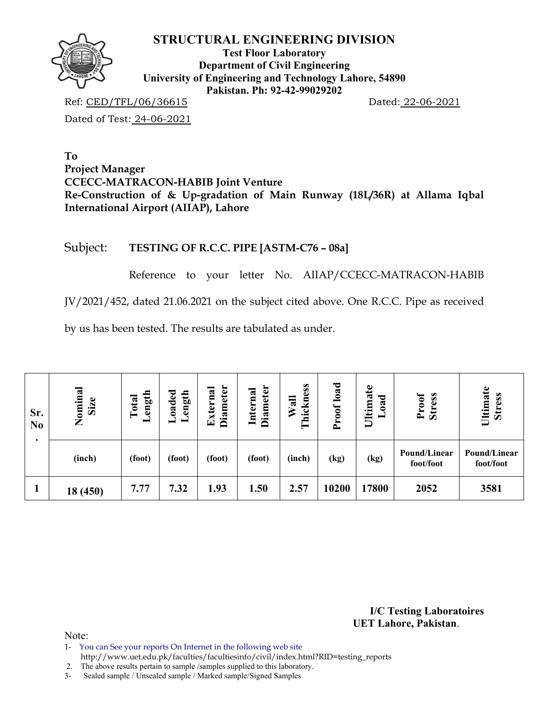

**Test Floor Laboratory Department of Civil Engineering University of Engineering and Technology Lahore, 54890 Pakistan. Ph: 92-42-99029202** 

Ref: CED/TFL/06/36615 Dated: 22-06-2021 Dated of Test: 24-06-2021

**To Project Manager CCECC-MATRACON-HABIB Joint Venture Re-Construction of & Up-gradation of Main Runway (18L/36R) at Allama Iqbal International Airport (AIIAP), Lahore** 

# Subject: **TESTING OF R.C.C. PIPE [ASTM-C76 – 08a]**

Reference to your letter No. AIIAP/CCECC-MATRACON-HABIB

JV/2021/452, dated 21.06.2021 on the subject cited above. One R.C.C. Pipe as received

by us has been tested. The results are tabulated as under.

| Sr.<br>N <sub>0</sub> | Nominal<br>Size | ength<br>Total | oaded<br>ength<br>- | <b>Diameter</b><br>xternal<br>囯 | <b>Diameter</b><br>Internal | Thickness<br>Wall | load<br>Proof | Ultimate<br>ರ<br>≂<br>0<br>- | Proof<br><b>Stress</b>    | Ultimate<br><b>Stress</b> |
|-----------------------|-----------------|----------------|---------------------|---------------------------------|-----------------------------|-------------------|---------------|------------------------------|---------------------------|---------------------------|
|                       | (inch)          | (foot)         | (foot)              | (foot)                          | (foot)                      | (inch)            | (kg)          | (kg)                         | Pound/Linear<br>foot/foot | Pound/Linear<br>foot/foot |
|                       | 18 (450)        | 7.77           | 7.32                | 1.93                            | 1.50                        | 2.57              | 10200         | 17800                        | 2052                      | 3581                      |

**I/C Testing Laboratoires UET Lahore, Pakistan**.

Note:

1- You can See your reports On Internet in the following web site

http://www.uet.edu.pk/faculties/facultiesinfo/civil/index.html?RID=testing\_reports

2. The above results pertain to sample /samples supplied to this laboratory.

3- Sealed sample / Unsealed sample / Marked sample/Signed Samples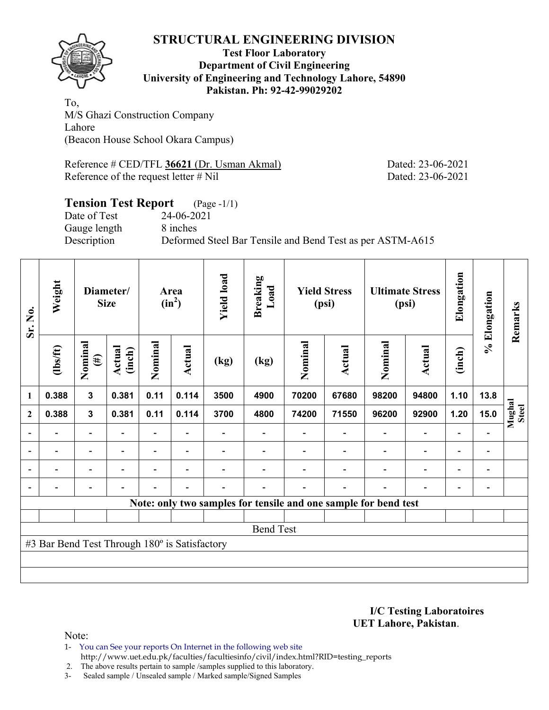

### **Test Floor Laboratory Department of Civil Engineering University of Engineering and Technology Lahore, 54890 Pakistan. Ph: 92-42-99029202**

To, M/S Ghazi Construction Company Lahore (Beacon House School Okara Campus)

Reference # CED/TFL **36621** (Dr. Usman Akmal) Dated: 23-06-2021 Reference of the request letter # Nil Dated: 23-06-2021

#### **Tension Test Report** (Page -1/1) Date of Test 24-06-2021

Gauge length 8 inches

Description Deformed Steel Bar Tensile and Bend Test as per ASTM-A615

| Sr. No.        | Weight<br>Diameter/<br><b>Size</b>            |                          |                  | <b>Yield load</b><br>Area<br>$(in^2)$ |                          | <b>Breaking</b><br>Load |                  | <b>Yield Stress</b><br>(psi)                                    |        | <b>Ultimate Stress</b><br>(psi) | Elongation               | % Elongation             | Remarks                  |                 |
|----------------|-----------------------------------------------|--------------------------|------------------|---------------------------------------|--------------------------|-------------------------|------------------|-----------------------------------------------------------------|--------|---------------------------------|--------------------------|--------------------------|--------------------------|-----------------|
|                | $lbsft$                                       | Nominal<br>$(\#)$        | Actual<br>(inch) | Nominal                               | <b>Actual</b>            | (kg)                    | (kg)             | Nominal                                                         | Actual | Nominal                         | <b>Actual</b>            | (inch)                   |                          |                 |
| 1              | 0.388                                         | $\mathbf{3}$             | 0.381            | 0.11                                  | 0.114                    | 3500                    | 4900             | 70200                                                           | 67680  | 98200                           | 94800                    | 1.10                     | 13.8                     |                 |
| $\mathbf{2}$   | 0.388                                         | $\mathbf{3}$             | 0.381            | 0.11                                  | 0.114                    | 3700                    | 4800             | 74200                                                           | 71550  | 96200                           | 92900                    | 1.20                     | 15.0                     | Mughal<br>Steel |
|                |                                               | $\overline{\phantom{0}}$ |                  |                                       |                          |                         |                  |                                                                 |        |                                 | $\overline{\phantom{0}}$ | $\overline{a}$           |                          |                 |
| $\overline{a}$ | -                                             | $\blacksquare$           |                  |                                       | $\blacksquare$           |                         |                  |                                                                 |        | $\overline{\phantom{0}}$        | $\overline{a}$           | $\overline{\phantom{a}}$ | $\overline{\phantom{0}}$ |                 |
| $\blacksquare$ | $\blacksquare$                                | $\overline{\phantom{a}}$ | $\blacksquare$   | Ξ.                                    | $\overline{\phantom{a}}$ |                         |                  |                                                                 |        | $\overline{\phantom{a}}$        | $\overline{a}$           | $\overline{\phantom{0}}$ | $\overline{\phantom{0}}$ |                 |
|                | $\blacksquare$                                | $\overline{\phantom{0}}$ |                  |                                       | $\blacksquare$           |                         |                  |                                                                 | ۰      | $\blacksquare$                  | $\blacksquare$           | $\overline{\phantom{a}}$ | $\blacksquare$           |                 |
|                |                                               |                          |                  |                                       |                          |                         |                  | Note: only two samples for tensile and one sample for bend test |        |                                 |                          |                          |                          |                 |
|                |                                               |                          |                  |                                       |                          |                         |                  |                                                                 |        |                                 |                          |                          |                          |                 |
|                |                                               |                          |                  |                                       |                          |                         | <b>Bend Test</b> |                                                                 |        |                                 |                          |                          |                          |                 |
|                | #3 Bar Bend Test Through 180° is Satisfactory |                          |                  |                                       |                          |                         |                  |                                                                 |        |                                 |                          |                          |                          |                 |
|                |                                               |                          |                  |                                       |                          |                         |                  |                                                                 |        |                                 |                          |                          |                          |                 |
|                |                                               |                          |                  |                                       |                          |                         |                  |                                                                 |        |                                 |                          |                          |                          |                 |

**I/C Testing Laboratoires UET Lahore, Pakistan**.

- 1- You can See your reports On Internet in the following web site http://www.uet.edu.pk/faculties/facultiesinfo/civil/index.html?RID=testing\_reports
- 2. The above results pertain to sample /samples supplied to this laboratory.
- 3- Sealed sample / Unsealed sample / Marked sample/Signed Samples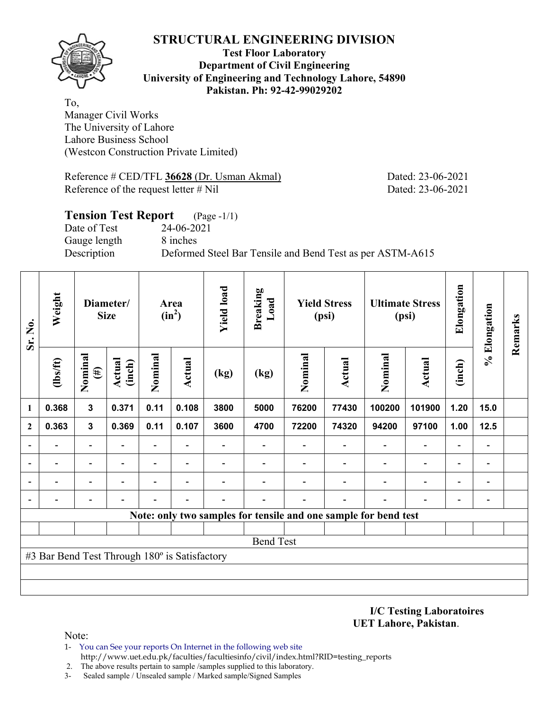

### **Test Floor Laboratory Department of Civil Engineering University of Engineering and Technology Lahore, 54890 Pakistan. Ph: 92-42-99029202**

To, Manager Civil Works The University of Lahore Lahore Business School (Westcon Construction Private Limited)

Reference # CED/TFL **36628** (Dr. Usman Akmal) Dated: 23-06-2021 Reference of the request letter # Nil Dated: 23-06-2021

# **Tension Test Report** (Page -1/1) Date of Test 24-06-2021 Gauge length 8 inches Description Deformed Steel Bar Tensile and Bend Test as per ASTM-A615

| Sr. No.                  | Weight<br>Diameter/<br><b>Size</b>            |                          |                          |                          | Area<br>$(in^2)$         | <b>Yield load</b> | <b>Breaking</b><br>Load                                         | <b>Yield Stress</b><br>(psi) |        | <b>Ultimate Stress</b><br>(psi) |                          | Elongation               | % Elongation             | Remarks |
|--------------------------|-----------------------------------------------|--------------------------|--------------------------|--------------------------|--------------------------|-------------------|-----------------------------------------------------------------|------------------------------|--------|---------------------------------|--------------------------|--------------------------|--------------------------|---------|
|                          | (1bs/ft)                                      | Nominal<br>$(\#)$        | <b>Actual</b><br>(inch)  | Nominal                  | Actual                   | (kg)              | (kg)                                                            | Nominal                      | Actual | Nominal                         | Actual                   | (inch)                   |                          |         |
| 1                        | 0.368                                         | 3                        | 0.371                    | 0.11                     | 0.108                    | 3800              | 5000                                                            | 76200                        | 77430  | 100200                          | 101900                   | 1.20                     | 15.0                     |         |
| $\mathbf{2}$             | 0.363                                         | $\mathbf{3}$             | 0.369                    | 0.11                     | 0.107                    | 3600              | 4700                                                            | 72200                        | 74320  | 94200                           | 97100                    | 1.00                     | 12.5                     |         |
|                          |                                               |                          | $\overline{\phantom{0}}$ | $\overline{\phantom{0}}$ |                          |                   |                                                                 |                              |        |                                 | $\overline{\phantom{0}}$ | $\overline{\phantom{0}}$ |                          |         |
| $\overline{\phantom{0}}$ |                                               |                          |                          | $\overline{\phantom{0}}$ |                          |                   |                                                                 |                              |        | $\overline{\phantom{0}}$        | $\overline{\phantom{0}}$ | $\overline{\phantom{0}}$ |                          |         |
| $\overline{\phantom{0}}$ |                                               | $\overline{\phantom{0}}$ |                          | $\overline{\phantom{0}}$ | $\overline{\phantom{0}}$ |                   |                                                                 |                              |        |                                 | $\overline{\phantom{0}}$ | $\overline{\phantom{0}}$ | $\overline{\phantom{0}}$ |         |
|                          |                                               |                          |                          |                          |                          |                   |                                                                 |                              |        |                                 |                          | $\overline{\phantom{0}}$ | -                        |         |
|                          |                                               |                          |                          |                          |                          |                   | Note: only two samples for tensile and one sample for bend test |                              |        |                                 |                          |                          |                          |         |
|                          |                                               |                          |                          |                          |                          |                   |                                                                 |                              |        |                                 |                          |                          |                          |         |
|                          |                                               |                          |                          |                          |                          |                   | <b>Bend Test</b>                                                |                              |        |                                 |                          |                          |                          |         |
|                          | #3 Bar Bend Test Through 180° is Satisfactory |                          |                          |                          |                          |                   |                                                                 |                              |        |                                 |                          |                          |                          |         |
|                          |                                               |                          |                          |                          |                          |                   |                                                                 |                              |        |                                 |                          |                          |                          |         |
|                          |                                               |                          |                          |                          |                          |                   |                                                                 |                              |        |                                 |                          |                          |                          |         |

**I/C Testing Laboratoires UET Lahore, Pakistan**.

- 1- You can See your reports On Internet in the following web site http://www.uet.edu.pk/faculties/facultiesinfo/civil/index.html?RID=testing\_reports
- 2. The above results pertain to sample /samples supplied to this laboratory.
- 3- Sealed sample / Unsealed sample / Marked sample/Signed Samples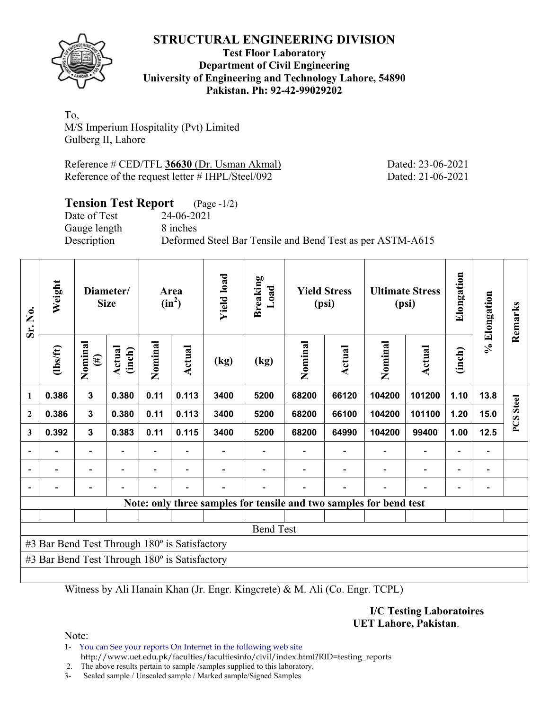

## **Test Floor Laboratory Department of Civil Engineering University of Engineering and Technology Lahore, 54890 Pakistan. Ph: 92-42-99029202**

To, M/S Imperium Hospitality (Pvt) Limited Gulberg II, Lahore

Reference # CED/TFL **36630** (Dr. Usman Akmal) Dated: 23-06-2021 Reference of the request letter # IHPL/Steel/092 Dated: 21-06-2021

# **Tension Test Report** (Page -1/2)

Date of Test 24-06-2021 Gauge length 8 inches

Description Deformed Steel Bar Tensile and Bend Test as per ASTM-A615

| Sr. No.          | Weight<br>Diameter/<br><b>Size</b>            |                          |                  | Area<br>$(in^2)$         | <b>Yield load</b><br><b>Breaking</b><br>Load |      | <b>Yield Stress</b><br>(psi) |         | <b>Ultimate Stress</b><br>(psi) |                                                                    | Elongation               | % Elongation             | Remarks                  |                  |
|------------------|-----------------------------------------------|--------------------------|------------------|--------------------------|----------------------------------------------|------|------------------------------|---------|---------------------------------|--------------------------------------------------------------------|--------------------------|--------------------------|--------------------------|------------------|
|                  | $\frac{2}{10}$                                | Nominal<br>$(\#)$        | Actual<br>(inch) | Nominal                  | Actual                                       | (kg) | (kg)                         | Nominal | Actual                          | Nominal                                                            | Actual                   | (inch)                   |                          |                  |
| $\mathbf{1}$     | 0.386                                         | $\mathbf{3}$             | 0.380            | 0.11                     | 0.113                                        | 3400 | 5200                         | 68200   | 66120                           | 104200                                                             | 101200                   | 1.10                     | 13.8                     |                  |
| $\boldsymbol{2}$ | 0.386                                         | $\mathbf{3}$             | 0.380            | 0.11                     | 0.113                                        | 3400 | 5200                         | 68200   | 66100                           | 104200                                                             | 101100                   | 1.20                     | 15.0                     | <b>PCS</b> Steel |
| 3                | 0.392                                         | $\overline{\mathbf{3}}$  | 0.383            | 0.11                     | 0.115                                        | 3400 | 5200                         | 68200   | 64990                           | 104200                                                             | 99400                    | 1.00                     | 12.5                     |                  |
| $\blacksquare$   |                                               | $\overline{\phantom{a}}$ |                  |                          |                                              |      |                              |         |                                 | $\overline{\phantom{a}}$                                           | $\blacksquare$           | $\overline{\phantom{0}}$ |                          |                  |
|                  | $\blacksquare$                                | Ξ.                       |                  | $\overline{\phantom{0}}$ | $\overline{\phantom{0}}$                     |      |                              |         |                                 | Ē,                                                                 | $\blacksquare$           | $\overline{\phantom{a}}$ | $\overline{\phantom{0}}$ |                  |
|                  |                                               | $\overline{\phantom{0}}$ |                  |                          | $\blacksquare$                               |      |                              |         | $\overline{\phantom{0}}$        |                                                                    | $\overline{\phantom{0}}$ | $\overline{\phantom{a}}$ |                          |                  |
|                  |                                               |                          |                  |                          |                                              |      |                              |         |                                 | Note: only three samples for tensile and two samples for bend test |                          |                          |                          |                  |
|                  |                                               |                          |                  |                          |                                              |      |                              |         |                                 |                                                                    |                          |                          |                          |                  |
|                  |                                               |                          |                  |                          |                                              |      | <b>Bend Test</b>             |         |                                 |                                                                    |                          |                          |                          |                  |
|                  | #3 Bar Bend Test Through 180° is Satisfactory |                          |                  |                          |                                              |      |                              |         |                                 |                                                                    |                          |                          |                          |                  |
|                  | #3 Bar Bend Test Through 180° is Satisfactory |                          |                  |                          |                                              |      |                              |         |                                 |                                                                    |                          |                          |                          |                  |
|                  |                                               |                          |                  |                          |                                              |      |                              |         |                                 |                                                                    |                          |                          |                          |                  |

Witness by Ali Hanain Khan (Jr. Engr. Kingcrete) & M. Ali (Co. Engr. TCPL)

**I/C Testing Laboratoires UET Lahore, Pakistan**.

Note:

1- You can See your reports On Internet in the following web site http://www.uet.edu.pk/faculties/facultiesinfo/civil/index.html?RID=testing\_reports

2. The above results pertain to sample /samples supplied to this laboratory.

3- Sealed sample / Unsealed sample / Marked sample/Signed Samples